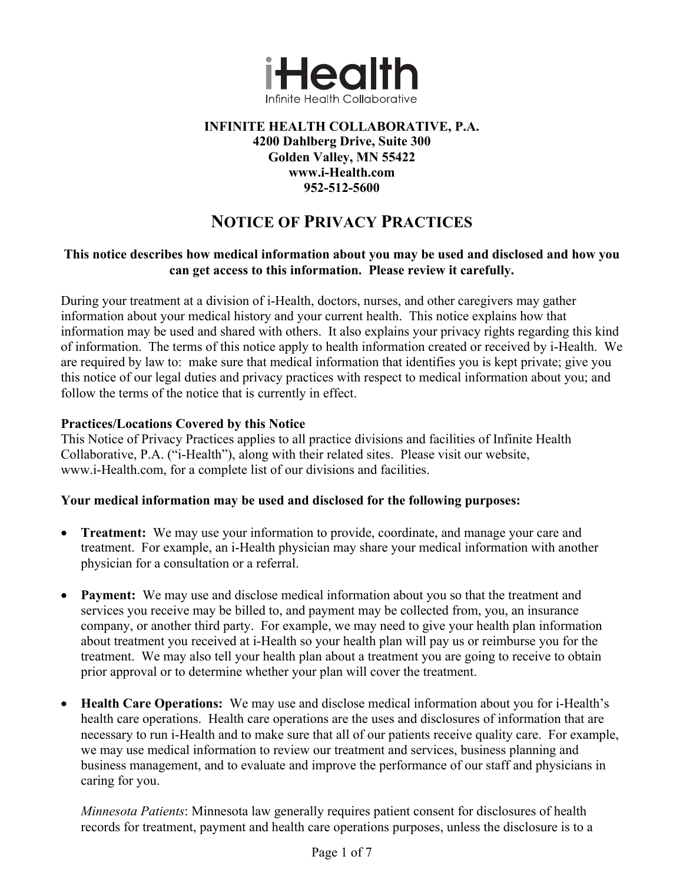

#### **INFINITE HEALTH COLLABORATIVE, P.A. 4200 Dahlberg Drive, Suite 300 Golden Valley, MN 55422 www.i-Health.com 952-512-5600**

# **NOTICE OF PRIVACY PRACTICES**

#### **This notice describes how medical information about you may be used and disclosed and how you can get access to this information. Please review it carefully.**

During your treatment at a division of i-Health, doctors, nurses, and other caregivers may gather information about your medical history and your current health. This notice explains how that information may be used and shared with others. It also explains your privacy rights regarding this kind of information. The terms of this notice apply to health information created or received by i-Health. We are required by law to: make sure that medical information that identifies you is kept private; give you this notice of our legal duties and privacy practices with respect to medical information about you; and follow the terms of the notice that is currently in effect.

#### **Practices/Locations Covered by this Notice**

This Notice of Privacy Practices applies to all practice divisions and facilities of Infinite Health Collaborative, P.A. ("i-Health"), along with their related sites. Please visit our website, www.i-Health.com, for a complete list of our divisions and facilities.

#### **Your medical information may be used and disclosed for the following purposes:**

- **Treatment:** We may use your information to provide, coordinate, and manage your care and treatment. For example, an i-Health physician may share your medical information with another physician for a consultation or a referral.
- **Payment:** We may use and disclose medical information about you so that the treatment and services you receive may be billed to, and payment may be collected from, you, an insurance company, or another third party. For example, we may need to give your health plan information about treatment you received at i-Health so your health plan will pay us or reimburse you for the treatment. We may also tell your health plan about a treatment you are going to receive to obtain prior approval or to determine whether your plan will cover the treatment.
- **Health Care Operations:** We may use and disclose medical information about you for i-Health's health care operations. Health care operations are the uses and disclosures of information that are necessary to run i-Health and to make sure that all of our patients receive quality care. For example, we may use medical information to review our treatment and services, business planning and business management, and to evaluate and improve the performance of our staff and physicians in caring for you.

*Minnesota Patients*: Minnesota law generally requires patient consent for disclosures of health records for treatment, payment and health care operations purposes, unless the disclosure is to a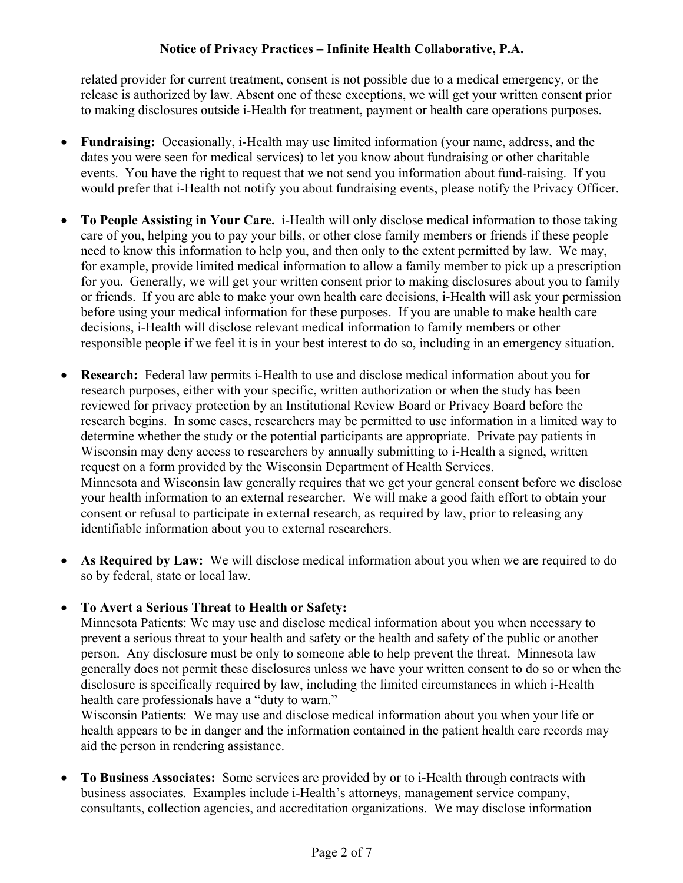related provider for current treatment, consent is not possible due to a medical emergency, or the release is authorized by law. Absent one of these exceptions, we will get your written consent prior to making disclosures outside i-Health for treatment, payment or health care operations purposes.

- **Fundraising:** Occasionally, i-Health may use limited information (your name, address, and the dates you were seen for medical services) to let you know about fundraising or other charitable events. You have the right to request that we not send you information about fund-raising. If you would prefer that i-Health not notify you about fundraising events, please notify the Privacy Officer.
- **To People Assisting in Your Care.** i-Health will only disclose medical information to those taking care of you, helping you to pay your bills, or other close family members or friends if these people need to know this information to help you, and then only to the extent permitted by law. We may, for example, provide limited medical information to allow a family member to pick up a prescription for you. Generally, we will get your written consent prior to making disclosures about you to family or friends. If you are able to make your own health care decisions, i-Health will ask your permission before using your medical information for these purposes. If you are unable to make health care decisions, i-Health will disclose relevant medical information to family members or other responsible people if we feel it is in your best interest to do so, including in an emergency situation.
- **Research:** Federal law permits i-Health to use and disclose medical information about you for research purposes, either with your specific, written authorization or when the study has been reviewed for privacy protection by an Institutional Review Board or Privacy Board before the research begins. In some cases, researchers may be permitted to use information in a limited way to determine whether the study or the potential participants are appropriate. Private pay patients in Wisconsin may deny access to researchers by annually submitting to i-Health a signed, written request on a form provided by the Wisconsin Department of Health Services. Minnesota and Wisconsin law generally requires that we get your general consent before we disclose your health information to an external researcher. We will make a good faith effort to obtain your consent or refusal to participate in external research, as required by law, prior to releasing any identifiable information about you to external researchers.
- **As Required by Law:** We will disclose medical information about you when we are required to do so by federal, state or local law.

#### • **To Avert a Serious Threat to Health or Safety:**

Minnesota Patients: We may use and disclose medical information about you when necessary to prevent a serious threat to your health and safety or the health and safety of the public or another person. Any disclosure must be only to someone able to help prevent the threat. Minnesota law generally does not permit these disclosures unless we have your written consent to do so or when the disclosure is specifically required by law, including the limited circumstances in which i-Health health care professionals have a "duty to warn."

Wisconsin Patients: We may use and disclose medical information about you when your life or health appears to be in danger and the information contained in the patient health care records may aid the person in rendering assistance.

• **To Business Associates:** Some services are provided by or to i-Health through contracts with business associates. Examples include i-Health's attorneys, management service company, consultants, collection agencies, and accreditation organizations. We may disclose information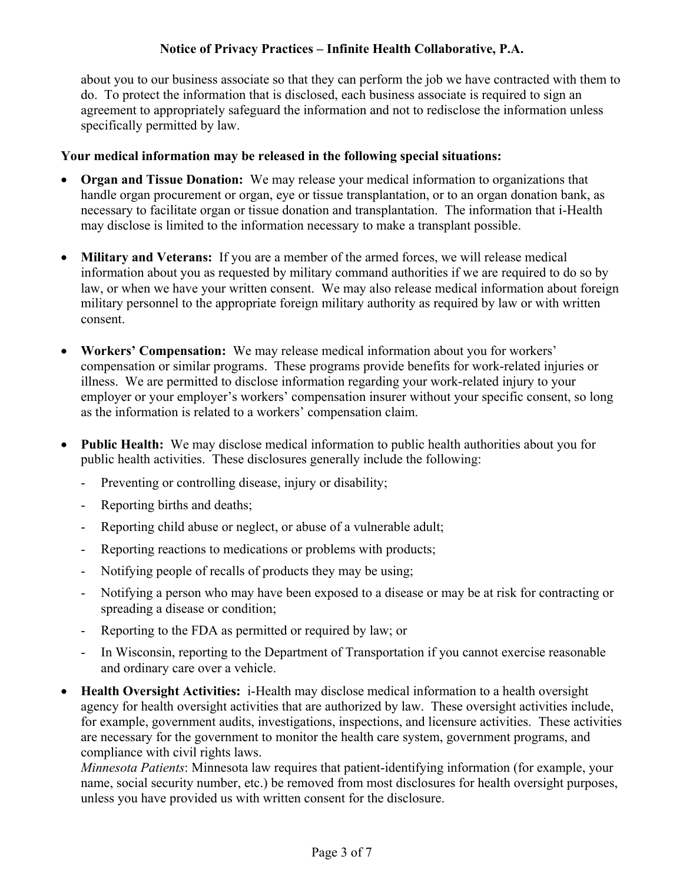about you to our business associate so that they can perform the job we have contracted with them to do. To protect the information that is disclosed, each business associate is required to sign an agreement to appropriately safeguard the information and not to redisclose the information unless specifically permitted by law.

#### **Your medical information may be released in the following special situations:**

- **Organ and Tissue Donation:** We may release your medical information to organizations that handle organ procurement or organ, eye or tissue transplantation, or to an organ donation bank, as necessary to facilitate organ or tissue donation and transplantation. The information that i-Health may disclose is limited to the information necessary to make a transplant possible.
- **Military and Veterans:** If you are a member of the armed forces, we will release medical information about you as requested by military command authorities if we are required to do so by law, or when we have your written consent. We may also release medical information about foreign military personnel to the appropriate foreign military authority as required by law or with written consent.
- **Workers' Compensation:** We may release medical information about you for workers' compensation or similar programs. These programs provide benefits for work-related injuries or illness. We are permitted to disclose information regarding your work-related injury to your employer or your employer's workers' compensation insurer without your specific consent, so long as the information is related to a workers' compensation claim.
- **Public Health:** We may disclose medical information to public health authorities about you for public health activities. These disclosures generally include the following:
	- Preventing or controlling disease, injury or disability;
	- Reporting births and deaths;
	- Reporting child abuse or neglect, or abuse of a vulnerable adult;
	- Reporting reactions to medications or problems with products;
	- Notifying people of recalls of products they may be using;
	- Notifying a person who may have been exposed to a disease or may be at risk for contracting or spreading a disease or condition;
	- Reporting to the FDA as permitted or required by law; or
	- In Wisconsin, reporting to the Department of Transportation if you cannot exercise reasonable and ordinary care over a vehicle.
- **Health Oversight Activities:** i-Health may disclose medical information to a health oversight agency for health oversight activities that are authorized by law. These oversight activities include, for example, government audits, investigations, inspections, and licensure activities. These activities are necessary for the government to monitor the health care system, government programs, and compliance with civil rights laws.

*Minnesota Patients*: Minnesota law requires that patient-identifying information (for example, your name, social security number, etc.) be removed from most disclosures for health oversight purposes, unless you have provided us with written consent for the disclosure.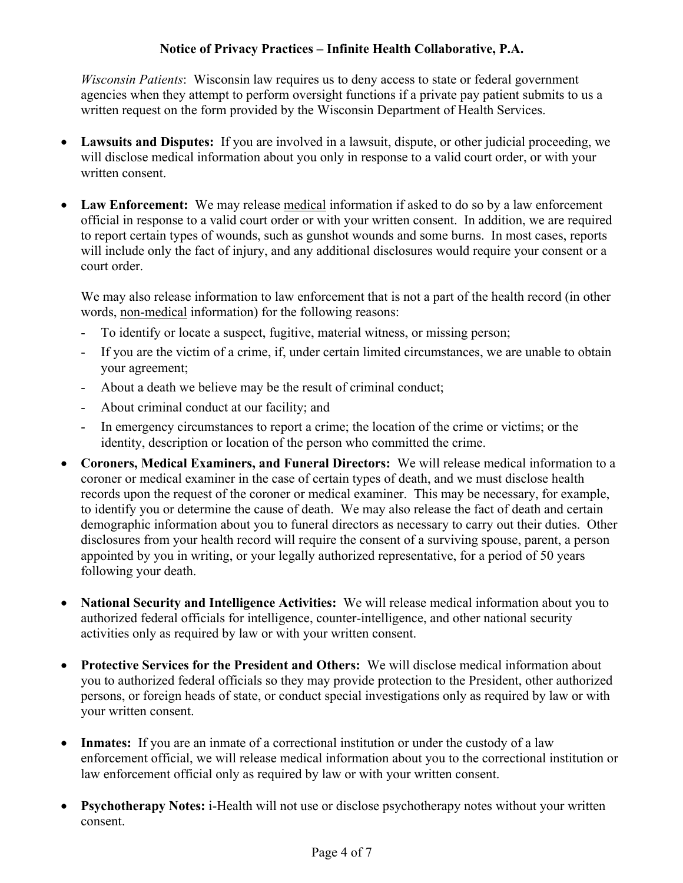*Wisconsin Patients*: Wisconsin law requires us to deny access to state or federal government agencies when they attempt to perform oversight functions if a private pay patient submits to us a written request on the form provided by the Wisconsin Department of Health Services.

- **Lawsuits and Disputes:** If you are involved in a lawsuit, dispute, or other judicial proceeding, we will disclose medical information about you only in response to a valid court order, or with your written consent.
- Law Enforcement: We may release medical information if asked to do so by a law enforcement official in response to a valid court order or with your written consent. In addition, we are required to report certain types of wounds, such as gunshot wounds and some burns. In most cases, reports will include only the fact of injury, and any additional disclosures would require your consent or a court order.

We may also release information to law enforcement that is not a part of the health record (in other words, non-medical information) for the following reasons:

- To identify or locate a suspect, fugitive, material witness, or missing person;
- If you are the victim of a crime, if, under certain limited circumstances, we are unable to obtain your agreement;
- About a death we believe may be the result of criminal conduct;
- About criminal conduct at our facility; and
- In emergency circumstances to report a crime; the location of the crime or victims; or the identity, description or location of the person who committed the crime.
- **Coroners, Medical Examiners, and Funeral Directors:** We will release medical information to a coroner or medical examiner in the case of certain types of death, and we must disclose health records upon the request of the coroner or medical examiner. This may be necessary, for example, to identify you or determine the cause of death. We may also release the fact of death and certain demographic information about you to funeral directors as necessary to carry out their duties. Other disclosures from your health record will require the consent of a surviving spouse, parent, a person appointed by you in writing, or your legally authorized representative, for a period of 50 years following your death.
- **National Security and Intelligence Activities:** We will release medical information about you to authorized federal officials for intelligence, counter-intelligence, and other national security activities only as required by law or with your written consent.
- **Protective Services for the President and Others:** We will disclose medical information about you to authorized federal officials so they may provide protection to the President, other authorized persons, or foreign heads of state, or conduct special investigations only as required by law or with your written consent.
- **Inmates:** If you are an inmate of a correctional institution or under the custody of a law enforcement official, we will release medical information about you to the correctional institution or law enforcement official only as required by law or with your written consent.
- **Psychotherapy Notes:** i-Health will not use or disclose psychotherapy notes without your written consent.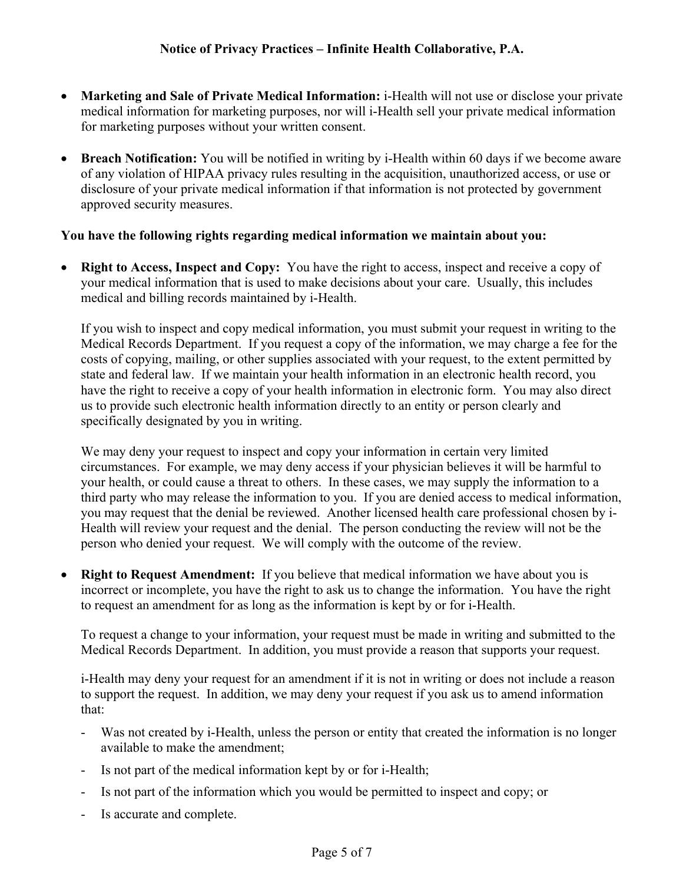- **Marketing and Sale of Private Medical Information:** i-Health will not use or disclose your private medical information for marketing purposes, nor will i-Health sell your private medical information for marketing purposes without your written consent.
- **Breach Notification:** You will be notified in writing by i-Health within 60 days if we become aware of any violation of HIPAA privacy rules resulting in the acquisition, unauthorized access, or use or disclosure of your private medical information if that information is not protected by government approved security measures.

#### **You have the following rights regarding medical information we maintain about you:**

**Right to Access, Inspect and Copy:** You have the right to access, inspect and receive a copy of your medical information that is used to make decisions about your care. Usually, this includes medical and billing records maintained by i-Health.

If you wish to inspect and copy medical information, you must submit your request in writing to the Medical Records Department. If you request a copy of the information, we may charge a fee for the costs of copying, mailing, or other supplies associated with your request, to the extent permitted by state and federal law. If we maintain your health information in an electronic health record, you have the right to receive a copy of your health information in electronic form. You may also direct us to provide such electronic health information directly to an entity or person clearly and specifically designated by you in writing.

We may deny your request to inspect and copy your information in certain very limited circumstances. For example, we may deny access if your physician believes it will be harmful to your health, or could cause a threat to others. In these cases, we may supply the information to a third party who may release the information to you. If you are denied access to medical information, you may request that the denial be reviewed. Another licensed health care professional chosen by i-Health will review your request and the denial. The person conducting the review will not be the person who denied your request. We will comply with the outcome of the review.

**Right to Request Amendment:** If you believe that medical information we have about you is incorrect or incomplete, you have the right to ask us to change the information. You have the right to request an amendment for as long as the information is kept by or for i-Health.

To request a change to your information, your request must be made in writing and submitted to the Medical Records Department. In addition, you must provide a reason that supports your request.

i-Health may deny your request for an amendment if it is not in writing or does not include a reason to support the request. In addition, we may deny your request if you ask us to amend information that:

- Was not created by i-Health, unless the person or entity that created the information is no longer available to make the amendment;
- Is not part of the medical information kept by or for i-Health;
- Is not part of the information which you would be permitted to inspect and copy; or
- Is accurate and complete.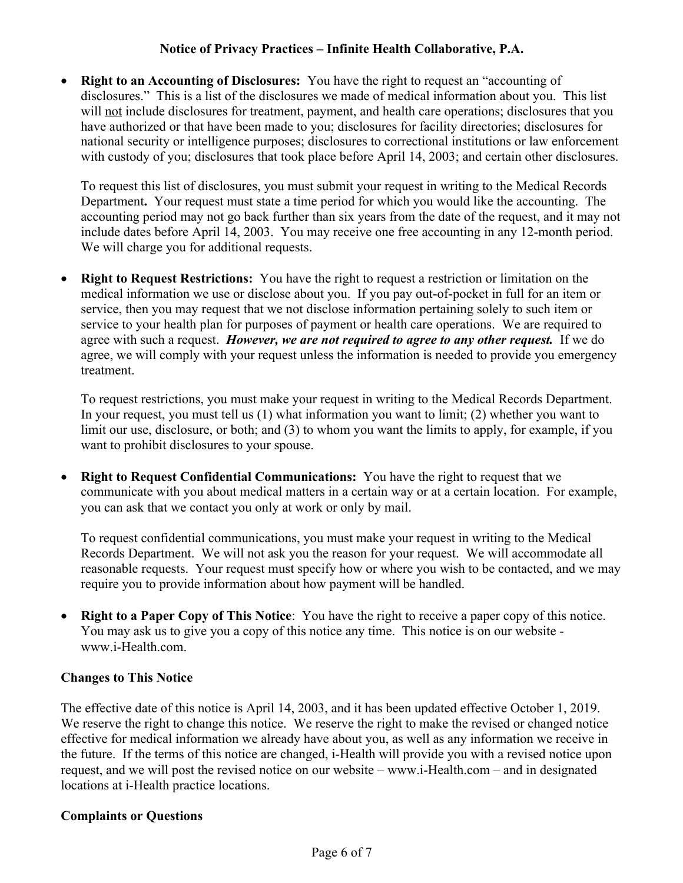• **Right to an Accounting of Disclosures:** You have the right to request an "accounting of disclosures." This is a list of the disclosures we made of medical information about you. This list will not include disclosures for treatment, payment, and health care operations; disclosures that you have authorized or that have been made to you; disclosures for facility directories; disclosures for national security or intelligence purposes; disclosures to correctional institutions or law enforcement with custody of you; disclosures that took place before April 14, 2003; and certain other disclosures.

To request this list of disclosures, you must submit your request in writing to the Medical Records Department**.** Your request must state a time period for which you would like the accounting. The accounting period may not go back further than six years from the date of the request, and it may not include dates before April 14, 2003. You may receive one free accounting in any 12-month period. We will charge you for additional requests.

• **Right to Request Restrictions:** You have the right to request a restriction or limitation on the medical information we use or disclose about you. If you pay out-of-pocket in full for an item or service, then you may request that we not disclose information pertaining solely to such item or service to your health plan for purposes of payment or health care operations. We are required to agree with such a request. *However, we are not required to agree to any other request.*If we do agree, we will comply with your request unless the information is needed to provide you emergency treatment.

To request restrictions, you must make your request in writing to the Medical Records Department. In your request, you must tell us (1) what information you want to limit; (2) whether you want to limit our use, disclosure, or both; and (3) to whom you want the limits to apply, for example, if you want to prohibit disclosures to your spouse.

**Right to Request Confidential Communications:** You have the right to request that we communicate with you about medical matters in a certain way or at a certain location. For example, you can ask that we contact you only at work or only by mail.

To request confidential communications, you must make your request in writing to the Medical Records Department. We will not ask you the reason for your request. We will accommodate all reasonable requests. Your request must specify how or where you wish to be contacted, and we may require you to provide information about how payment will be handled.

• **Right to a Paper Copy of This Notice**: You have the right to receive a paper copy of this notice. You may ask us to give you a copy of this notice any time. This notice is on our website www.i-Health.com.

#### **Changes to This Notice**

The effective date of this notice is April 14, 2003, and it has been updated effective October 1, 2019. We reserve the right to change this notice. We reserve the right to make the revised or changed notice effective for medical information we already have about you, as well as any information we receive in the future. If the terms of this notice are changed, i-Health will provide you with a revised notice upon request, and we will post the revised notice on our website – www.i-Health.com – and in designated locations at i-Health practice locations.

#### **Complaints or Questions**